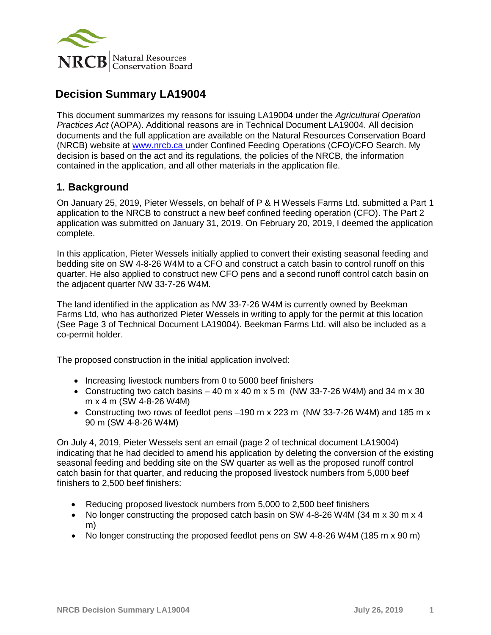

# **Decision Summary LA19004**

This document summarizes my reasons for issuing LA19004 under the *Agricultural Operation Practices Act* (AOPA). Additional reasons are in Technical Document LA19004. All decision documents and the full application are available on the Natural Resources Conservation Board (NRCB) website at [www.nrcb.ca](http://www.nrcb.ca/) under Confined Feeding Operations (CFO)/CFO Search. My decision is based on the act and its regulations, the policies of the NRCB, the information contained in the application, and all other materials in the application file.

## **1. Background**

On January 25, 2019, Pieter Wessels, on behalf of P & H Wessels Farms Ltd. submitted a Part 1 application to the NRCB to construct a new beef confined feeding operation (CFO). The Part 2 application was submitted on January 31, 2019. On February 20, 2019, I deemed the application complete.

In this application, Pieter Wessels initially applied to convert their existing seasonal feeding and bedding site on SW 4-8-26 W4M to a CFO and construct a catch basin to control runoff on this quarter. He also applied to construct new CFO pens and a second runoff control catch basin on the adjacent quarter NW 33-7-26 W4M.

The land identified in the application as NW 33-7-26 W4M is currently owned by Beekman Farms Ltd, who has authorized Pieter Wessels in writing to apply for the permit at this location (See Page 3 of Technical Document LA19004). Beekman Farms Ltd. will also be included as a co-permit holder.

The proposed construction in the initial application involved:

- Increasing livestock numbers from 0 to 5000 beef finishers
- Constructing two catch basins  $-40$  m x 40 m x 5 m (NW 33-7-26 W4M) and 34 m x 30 m x 4 m (SW 4-8-26 W4M)
- Constructing two rows of feedlot pens –190 m x 223 m (NW 33-7-26 W4M) and 185 m x 90 m (SW 4-8-26 W4M)

On July 4, 2019, Pieter Wessels sent an email (page 2 of technical document LA19004) indicating that he had decided to amend his application by deleting the conversion of the existing seasonal feeding and bedding site on the SW quarter as well as the proposed runoff control catch basin for that quarter, and reducing the proposed livestock numbers from 5,000 beef finishers to 2,500 beef finishers:

- Reducing proposed livestock numbers from 5,000 to 2,500 beef finishers
- No longer constructing the proposed catch basin on SW 4-8-26 W4M (34 m x 30 m x 4) m)
- No longer constructing the proposed feedlot pens on SW 4-8-26 W4M (185 m x 90 m)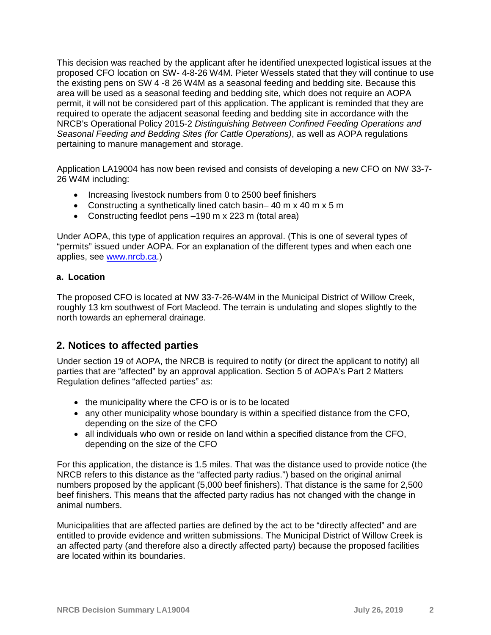This decision was reached by the applicant after he identified unexpected logistical issues at the proposed CFO location on SW- 4-8-26 W4M. Pieter Wessels stated that they will continue to use the existing pens on SW 4 -8 26 W4M as a seasonal feeding and bedding site. Because this area will be used as a seasonal feeding and bedding site, which does not require an AOPA permit, it will not be considered part of this application. The applicant is reminded that they are required to operate the adjacent seasonal feeding and bedding site in accordance with the NRCB's Operational Policy 2015-2 *Distinguishing Between Confined Feeding Operations and Seasonal Feeding and Bedding Sites (for Cattle Operations)*, as well as AOPA regulations pertaining to manure management and storage.

Application LA19004 has now been revised and consists of developing a new CFO on NW 33-7- 26 W4M including:

- Increasing livestock numbers from 0 to 2500 beef finishers
- Constructing a synthetically lined catch basin– 40 m x 40 m x 5 m
- Constructing feedlot pens –190 m x 223 m (total area)

Under AOPA, this type of application requires an approval. (This is one of several types of "permits" issued under AOPA. For an explanation of the different types and when each one applies, see [www.nrcb.ca.](http://www.nrcb.ca/))

#### **a. Location**

The proposed CFO is located at NW 33-7-26-W4M in the Municipal District of Willow Creek, roughly 13 km southwest of Fort Macleod. The terrain is undulating and slopes slightly to the north towards an ephemeral drainage.

## **2. Notices to affected parties**

Under section 19 of AOPA, the NRCB is required to notify (or direct the applicant to notify) all parties that are "affected" by an approval application. Section 5 of AOPA's Part 2 Matters Regulation defines "affected parties" as:

- the municipality where the CFO is or is to be located
- any other municipality whose boundary is within a specified distance from the CFO, depending on the size of the CFO
- all individuals who own or reside on land within a specified distance from the CFO, depending on the size of the CFO

For this application, the distance is 1.5 miles. That was the distance used to provide notice (the NRCB refers to this distance as the "affected party radius.") based on the original animal numbers proposed by the applicant (5,000 beef finishers). That distance is the same for 2,500 beef finishers. This means that the affected party radius has not changed with the change in animal numbers.

Municipalities that are affected parties are defined by the act to be "directly affected" and are entitled to provide evidence and written submissions. The Municipal District of Willow Creek is an affected party (and therefore also a directly affected party) because the proposed facilities are located within its boundaries.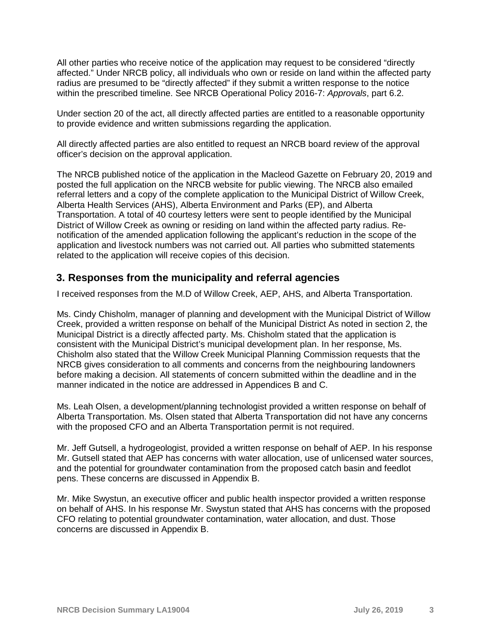All other parties who receive notice of the application may request to be considered "directly affected." Under NRCB policy, all individuals who own or reside on land within the affected party radius are presumed to be "directly affected" if they submit a written response to the notice within the prescribed timeline. See NRCB Operational Policy 2016-7: *Approvals*, part 6.2.

Under section 20 of the act, all directly affected parties are entitled to a reasonable opportunity to provide evidence and written submissions regarding the application.

All directly affected parties are also entitled to request an NRCB board review of the approval officer's decision on the approval application.

The NRCB published notice of the application in the Macleod Gazette on February 20, 2019 and posted the full application on the NRCB website for public viewing. The NRCB also emailed referral letters and a copy of the complete application to the Municipal District of Willow Creek, Alberta Health Services (AHS), Alberta Environment and Parks (EP), and Alberta Transportation. A total of 40 courtesy letters were sent to people identified by the Municipal District of Willow Creek as owning or residing on land within the affected party radius. Renotification of the amended application following the applicant's reduction in the scope of the application and livestock numbers was not carried out. All parties who submitted statements related to the application will receive copies of this decision.

## **3. Responses from the municipality and referral agencies**

I received responses from the M.D of Willow Creek, AEP, AHS, and Alberta Transportation.

Ms. Cindy Chisholm, manager of planning and development with the Municipal District of Willow Creek, provided a written response on behalf of the Municipal District As noted in section 2, the Municipal District is a directly affected party. Ms. Chisholm stated that the application is consistent with the Municipal District's municipal development plan. In her response, Ms. Chisholm also stated that the Willow Creek Municipal Planning Commission requests that the NRCB gives consideration to all comments and concerns from the neighbouring landowners before making a decision. All statements of concern submitted within the deadline and in the manner indicated in the notice are addressed in Appendices B and C.

Ms. Leah Olsen, a development/planning technologist provided a written response on behalf of Alberta Transportation. Ms. Olsen stated that Alberta Transportation did not have any concerns with the proposed CFO and an Alberta Transportation permit is not required.

Mr. Jeff Gutsell, a hydrogeologist, provided a written response on behalf of AEP. In his response Mr. Gutsell stated that AEP has concerns with water allocation, use of unlicensed water sources, and the potential for groundwater contamination from the proposed catch basin and feedlot pens. These concerns are discussed in Appendix B.

Mr. Mike Swystun, an executive officer and public health inspector provided a written response on behalf of AHS. In his response Mr. Swystun stated that AHS has concerns with the proposed CFO relating to potential groundwater contamination, water allocation, and dust. Those concerns are discussed in Appendix B.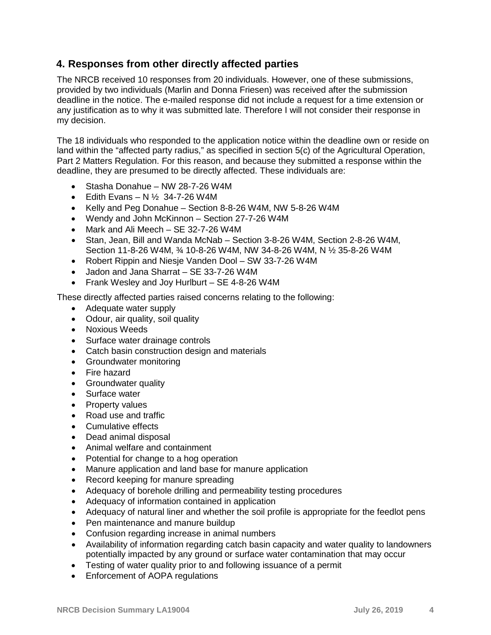## **4. Responses from other directly affected parties**

The NRCB received 10 responses from 20 individuals. However, one of these submissions, provided by two individuals (Marlin and Donna Friesen) was received after the submission deadline in the notice. The e-mailed response did not include a request for a time extension or any justification as to why it was submitted late. Therefore I will not consider their response in my decision.

The 18 individuals who responded to the application notice within the deadline own or reside on land within the "affected party radius," as specified in section 5(c) of the Agricultural Operation, Part 2 Matters Regulation. For this reason, and because they submitted a response within the deadline, they are presumed to be directly affected. These individuals are:

- Stasha Donahue NW 28-7-26 W4M
- Edith Evans N  $\frac{1}{2}$  34-7-26 W4M
- Kelly and Peg Donahue Section 8-8-26 W4M, NW 5-8-26 W4M
- Wendy and John McKinnon Section 27-7-26 W4M
- Mark and Ali Meech SE 32-7-26 W4M
- Stan, Jean, Bill and Wanda McNab Section 3-8-26 W4M, Section 2-8-26 W4M, Section 11-8-26 W4M, ¾ 10-8-26 W4M, NW 34-8-26 W4M, N ½ 35-8-26 W4M
- Robert Rippin and Niesje Vanden Dool SW 33-7-26 W4M
- Jadon and Jana Sharrat SE 33-7-26 W4M
- Frank Wesley and Joy Hurlburt SE 4-8-26 W4M

These directly affected parties raised concerns relating to the following:

- Adequate water supply
- Odour, air quality, soil quality
- Noxious Weeds
- Surface water drainage controls
- Catch basin construction design and materials
- Groundwater monitoring
- Fire hazard
- Groundwater quality
- Surface water
- Property values
- Road use and traffic
- Cumulative effects
- Dead animal disposal
- Animal welfare and containment
- Potential for change to a hog operation
- Manure application and land base for manure application
- Record keeping for manure spreading
- Adequacy of borehole drilling and permeability testing procedures
- Adequacy of information contained in application
- Adequacy of natural liner and whether the soil profile is appropriate for the feedlot pens
- Pen maintenance and manure buildup
- Confusion regarding increase in animal numbers
- Availability of information regarding catch basin capacity and water quality to landowners potentially impacted by any ground or surface water contamination that may occur
- Testing of water quality prior to and following issuance of a permit
- Enforcement of AOPA regulations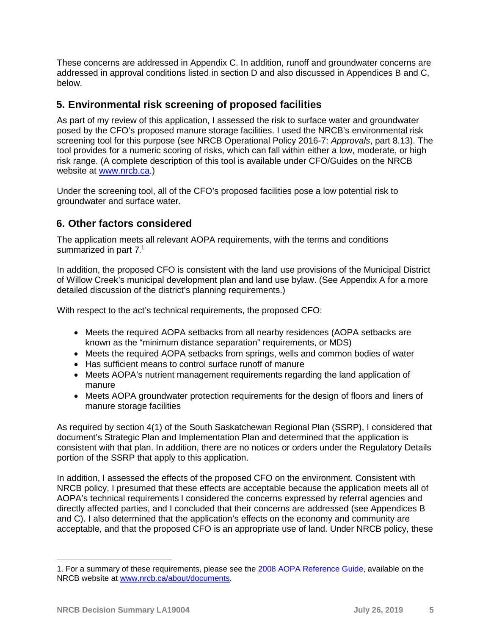These concerns are addressed in Appendix C. In addition, runoff and groundwater concerns are addressed in approval conditions listed in section D and also discussed in Appendices B and C, below.

## **5. Environmental risk screening of proposed facilities**

As part of my review of this application, I assessed the risk to surface water and groundwater posed by the CFO's proposed manure storage facilities. I used the NRCB's environmental risk screening tool for this purpose (see NRCB Operational Policy 2016-7: *Approvals*, part 8.13). The tool provides for a numeric scoring of risks, which can fall within either a low, moderate, or high risk range. (A complete description of this tool is available under CFO/Guides on the NRCB website at [www.nrcb.ca.](http://www.nrcb.ca/))

Under the screening tool, all of the CFO's proposed facilities pose a low potential risk to groundwater and surface water.

## **6. Other factors considered**

The application meets all relevant AOPA requirements, with the terms and conditions summarized in part 7.<sup>[1](#page-4-0)</sup>

In addition, the proposed CFO is consistent with the land use provisions of the Municipal District of Willow Creek's municipal development plan and land use bylaw. (See Appendix A for a more detailed discussion of the district's planning requirements.)

With respect to the act's technical requirements, the proposed CFO:

- Meets the required AOPA setbacks from all nearby residences (AOPA setbacks are known as the "minimum distance separation" requirements, or MDS)
- Meets the required AOPA setbacks from springs, wells and common bodies of water
- Has sufficient means to control surface runoff of manure
- Meets AOPA's nutrient management requirements regarding the land application of manure
- Meets AOPA groundwater protection requirements for the design of floors and liners of manure storage facilities

As required by section 4(1) of the South Saskatchewan Regional Plan (SSRP), I considered that document's Strategic Plan and Implementation Plan and determined that the application is consistent with that plan. In addition, there are no notices or orders under the Regulatory Details portion of the SSRP that apply to this application.

In addition, I assessed the effects of the proposed CFO on the environment. Consistent with NRCB policy, I presumed that these effects are acceptable because the application meets all of AOPA's technical requirements I considered the concerns expressed by referral agencies and directly affected parties, and I concluded that their concerns are addressed (see Appendices B and C). I also determined that the application's effects on the economy and community are acceptable, and that the proposed CFO is an appropriate use of land. Under NRCB policy, these

<span id="page-4-0"></span>1. For a summary of these requirements, please see the [2008 AOPA Reference Guide,](http://www1.agric.gov.ab.ca/$department/deptdocs.nsf/all/epw5592) available on the NRCB website at [www.nrcb.ca/about/documents.](http://www.nrcb.ca/about/documents)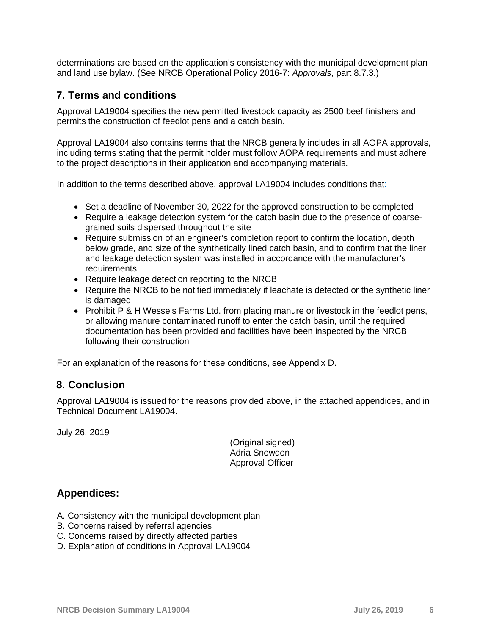determinations are based on the application's consistency with the municipal development plan and land use bylaw. (See NRCB Operational Policy 2016-7: *Approvals*, part 8.7.3.)

## **7. Terms and conditions**

Approval LA19004 specifies the new permitted livestock capacity as 2500 beef finishers and permits the construction of feedlot pens and a catch basin.

Approval LA19004 also contains terms that the NRCB generally includes in all AOPA approvals, including terms stating that the permit holder must follow AOPA requirements and must adhere to the project descriptions in their application and accompanying materials.

In addition to the terms described above, approval LA19004 includes conditions that:

- Set a deadline of November 30, 2022 for the approved construction to be completed
- Require a leakage detection system for the catch basin due to the presence of coarsegrained soils dispersed throughout the site
- Require submission of an engineer's completion report to confirm the location, depth below grade, and size of the synthetically lined catch basin, and to confirm that the liner and leakage detection system was installed in accordance with the manufacturer's requirements
- Require leakage detection reporting to the NRCB
- Require the NRCB to be notified immediately if leachate is detected or the synthetic liner is damaged
- Prohibit P & H Wessels Farms Ltd. from placing manure or livestock in the feedlot pens, or allowing manure contaminated runoff to enter the catch basin, until the required documentation has been provided and facilities have been inspected by the NRCB following their construction

For an explanation of the reasons for these conditions, see Appendix D.

## **8. Conclusion**

Approval LA19004 is issued for the reasons provided above, in the attached appendices, and in Technical Document LA19004.

July 26, 2019

(Original signed) Adria Snowdon Approval Officer

## **Appendices:**

- A. Consistency with the municipal development plan
- B. Concerns raised by referral agencies
- C. Concerns raised by directly affected parties
- D. Explanation of conditions in Approval LA19004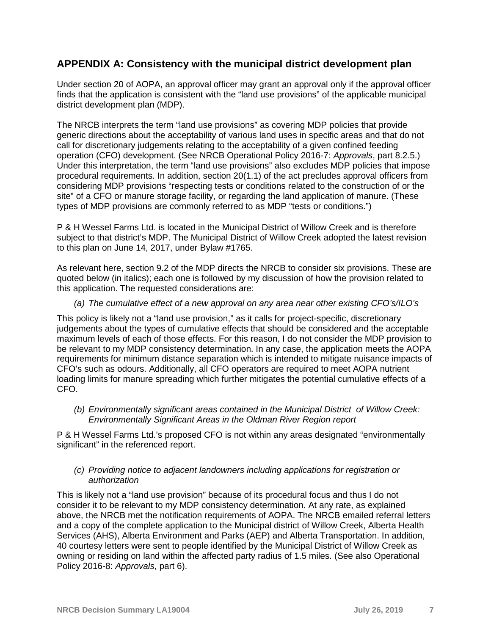## **APPENDIX A: Consistency with the municipal district development plan**

Under section 20 of AOPA, an approval officer may grant an approval only if the approval officer finds that the application is consistent with the "land use provisions" of the applicable municipal district development plan (MDP).

The NRCB interprets the term "land use provisions" as covering MDP policies that provide generic directions about the acceptability of various land uses in specific areas and that do not call for discretionary judgements relating to the acceptability of a given confined feeding operation (CFO) development. (See NRCB Operational Policy 2016-7: *Approvals*, part 8.2.5.) Under this interpretation, the term "land use provisions" also excludes MDP policies that impose procedural requirements. In addition, section 20(1.1) of the act precludes approval officers from considering MDP provisions "respecting tests or conditions related to the construction of or the site" of a CFO or manure storage facility, or regarding the land application of manure. (These types of MDP provisions are commonly referred to as MDP "tests or conditions.")

P & H Wessel Farms Ltd. is located in the Municipal District of Willow Creek and is therefore subject to that district's MDP. The Municipal District of Willow Creek adopted the latest revision to this plan on June 14, 2017, under Bylaw #1765.

As relevant here, section 9.2 of the MDP directs the NRCB to consider six provisions. These are quoted below (in italics); each one is followed by my discussion of how the provision related to this application. The requested considerations are:

#### *(a) The cumulative effect of a new approval on any area near other existing CFO's/ILO's*

This policy is likely not a "land use provision," as it calls for project-specific, discretionary judgements about the types of cumulative effects that should be considered and the acceptable maximum levels of each of those effects. For this reason, I do not consider the MDP provision to be relevant to my MDP consistency determination. In any case, the application meets the AOPA requirements for minimum distance separation which is intended to mitigate nuisance impacts of CFO's such as odours. Additionally, all CFO operators are required to meet AOPA nutrient loading limits for manure spreading which further mitigates the potential cumulative effects of a CFO.

*(b) Environmentally significant areas contained in the Municipal District of Willow Creek: Environmentally Significant Areas in the Oldman River Region report*

P & H Wessel Farms Ltd.'s proposed CFO is not within any areas designated "environmentally significant" in the referenced report.

#### *(c) Providing notice to adjacent landowners including applications for registration or authorization*

This is likely not a "land use provision" because of its procedural focus and thus I do not consider it to be relevant to my MDP consistency determination. At any rate, as explained above, the NRCB met the notification requirements of AOPA. The NRCB emailed referral letters and a copy of the complete application to the Municipal district of Willow Creek, Alberta Health Services (AHS), Alberta Environment and Parks (AEP) and Alberta Transportation. In addition, 40 courtesy letters were sent to people identified by the Municipal District of Willow Creek as owning or residing on land within the affected party radius of 1.5 miles. (See also Operational Policy 2016-8: *Approvals*, part 6).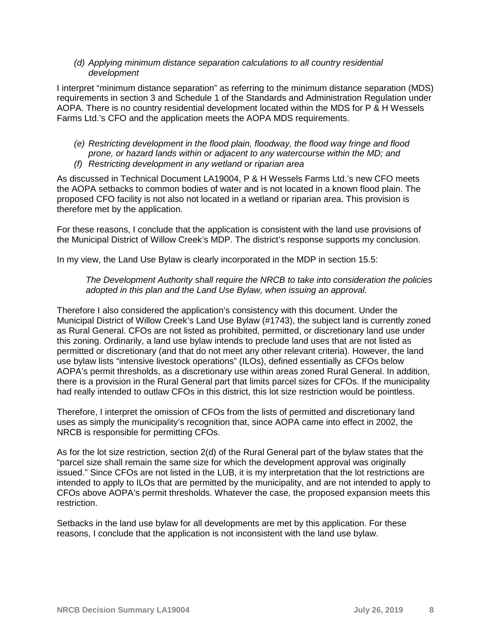#### *(d) Applying minimum distance separation calculations to all country residential development*

I interpret "minimum distance separation" as referring to the minimum distance separation (MDS) requirements in section 3 and Schedule 1 of the Standards and Administration Regulation under AOPA. There is no country residential development located within the MDS for P & H Wessels Farms Ltd.'s CFO and the application meets the AOPA MDS requirements.

*(e) Restricting development in the flood plain, floodway, the flood way fringe and flood prone, or hazard lands within or adjacent to any watercourse within the MD; and (f) Restricting development in any wetland or riparian area*

As discussed in Technical Document LA19004, P & H Wessels Farms Ltd.'s new CFO meets the AOPA setbacks to common bodies of water and is not located in a known flood plain. The proposed CFO facility is not also not located in a wetland or riparian area. This provision is therefore met by the application.

For these reasons, I conclude that the application is consistent with the land use provisions of the Municipal District of Willow Creek's MDP. The district's response supports my conclusion.

In my view, the Land Use Bylaw is clearly incorporated in the MDP in section 15.5:

#### *The Development Authority shall require the NRCB to take into consideration the policies adopted in this plan and the Land Use Bylaw, when issuing an approval.*

Therefore I also considered the application's consistency with this document. Under the Municipal District of Willow Creek's Land Use Bylaw (#1743), the subject land is currently zoned as Rural General. CFOs are not listed as prohibited, permitted, or discretionary land use under this zoning. Ordinarily, a land use bylaw intends to preclude land uses that are not listed as permitted or discretionary (and that do not meet any other relevant criteria). However, the land use bylaw lists "intensive livestock operations" (ILOs), defined essentially as CFOs below AOPA's permit thresholds, as a discretionary use within areas zoned Rural General. In addition, there is a provision in the Rural General part that limits parcel sizes for CFOs. If the municipality had really intended to outlaw CFOs in this district, this lot size restriction would be pointless.

Therefore, I interpret the omission of CFOs from the lists of permitted and discretionary land uses as simply the municipality's recognition that, since AOPA came into effect in 2002, the NRCB is responsible for permitting CFOs.

As for the lot size restriction, section 2(d) of the Rural General part of the bylaw states that the "parcel size shall remain the same size for which the development approval was originally issued." Since CFOs are not listed in the LUB, it is my interpretation that the lot restrictions are intended to apply to ILOs that are permitted by the municipality, and are not intended to apply to CFOs above AOPA's permit thresholds. Whatever the case, the proposed expansion meets this restriction.

Setbacks in the land use bylaw for all developments are met by this application. For these reasons, I conclude that the application is not inconsistent with the land use bylaw.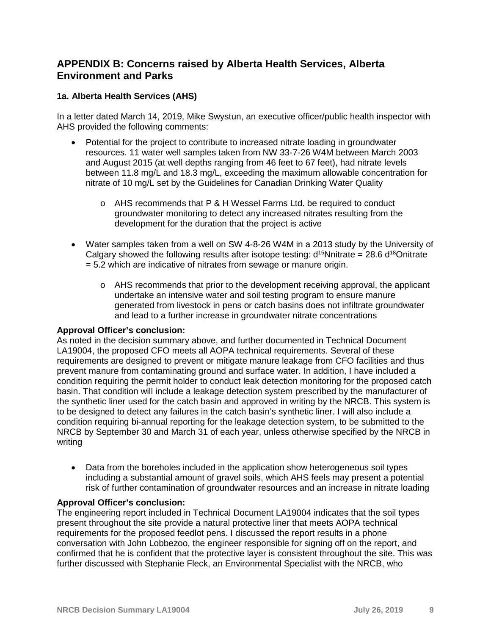## **APPENDIX B: Concerns raised by Alberta Health Services, Alberta Environment and Parks**

## **1a. Alberta Health Services (AHS)**

In a letter dated March 14, 2019, Mike Swystun, an executive officer/public health inspector with AHS provided the following comments:

- Potential for the project to contribute to increased nitrate loading in groundwater resources. 11 water well samples taken from NW 33-7-26 W4M between March 2003 and August 2015 (at well depths ranging from 46 feet to 67 feet), had nitrate levels between 11.8 mg/L and 18.3 mg/L, exceeding the maximum allowable concentration for nitrate of 10 mg/L set by the Guidelines for Canadian Drinking Water Quality
	- o AHS recommends that P & H Wessel Farms Ltd. be required to conduct groundwater monitoring to detect any increased nitrates resulting from the development for the duration that the project is active
- Water samples taken from a well on SW 4-8-26 W4M in a 2013 study by the University of Calgary showed the following results after isotope testing:  $d^{15}$ Nnitrate = 28.6  $d^{18}$ Onitrate = 5.2 which are indicative of nitrates from sewage or manure origin.
	- $\circ$  AHS recommends that prior to the development receiving approval, the applicant undertake an intensive water and soil testing program to ensure manure generated from livestock in pens or catch basins does not infiltrate groundwater and lead to a further increase in groundwater nitrate concentrations

#### **Approval Officer's conclusion:**

As noted in the decision summary above, and further documented in Technical Document LA19004, the proposed CFO meets all AOPA technical requirements. Several of these requirements are designed to prevent or mitigate manure leakage from CFO facilities and thus prevent manure from contaminating ground and surface water. In addition, I have included a condition requiring the permit holder to conduct leak detection monitoring for the proposed catch basin. That condition will include a leakage detection system prescribed by the manufacturer of the synthetic liner used for the catch basin and approved in writing by the NRCB. This system is to be designed to detect any failures in the catch basin's synthetic liner. I will also include a condition requiring bi-annual reporting for the leakage detection system, to be submitted to the NRCB by September 30 and March 31 of each year, unless otherwise specified by the NRCB in writing

• Data from the boreholes included in the application show heterogeneous soil types including a substantial amount of gravel soils, which AHS feels may present a potential risk of further contamination of groundwater resources and an increase in nitrate loading

### **Approval Officer's conclusion:**

The engineering report included in Technical Document LA19004 indicates that the soil types present throughout the site provide a natural protective liner that meets AOPA technical requirements for the proposed feedlot pens. I discussed the report results in a phone conversation with John Lobbezoo, the engineer responsible for signing off on the report, and confirmed that he is confident that the protective layer is consistent throughout the site. This was further discussed with Stephanie Fleck, an Environmental Specialist with the NRCB, who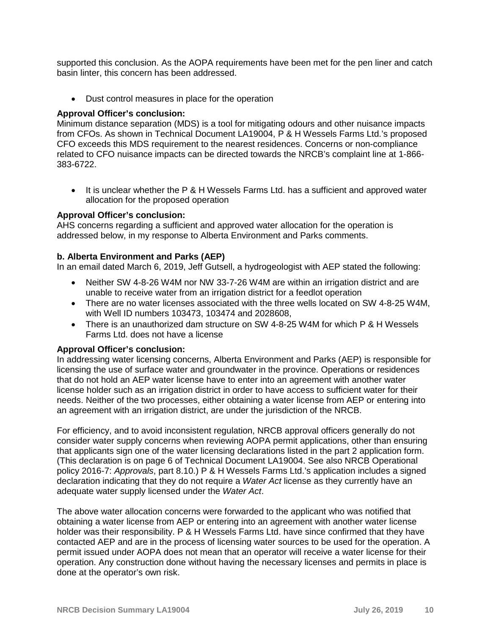supported this conclusion. As the AOPA requirements have been met for the pen liner and catch basin linter, this concern has been addressed.

• Dust control measures in place for the operation

#### **Approval Officer's conclusion:**

Minimum distance separation (MDS) is a tool for mitigating odours and other nuisance impacts from CFOs. As shown in Technical Document LA19004, P & H Wessels Farms Ltd.'s proposed CFO exceeds this MDS requirement to the nearest residences. Concerns or non-compliance related to CFO nuisance impacts can be directed towards the NRCB's complaint line at 1-866- 383-6722.

• It is unclear whether the P & H Wessels Farms Ltd. has a sufficient and approved water allocation for the proposed operation

#### **Approval Officer's conclusion:**

AHS concerns regarding a sufficient and approved water allocation for the operation is addressed below, in my response to Alberta Environment and Parks comments.

#### **b. Alberta Environment and Parks (AEP)**

In an email dated March 6, 2019, Jeff Gutsell, a hydrogeologist with AEP stated the following:

- Neither SW 4-8-26 W4M nor NW 33-7-26 W4M are within an irrigation district and are unable to receive water from an irrigation district for a feedlot operation
- There are no water licenses associated with the three wells located on SW 4-8-25 W4M, with Well ID numbers 103473, 103474 and 2028608,
- There is an unauthorized dam structure on SW 4-8-25 W4M for which P & H Wessels Farms Ltd. does not have a license

#### **Approval Officer's conclusion:**

In addressing water licensing concerns, Alberta Environment and Parks (AEP) is responsible for licensing the use of surface water and groundwater in the province. Operations or residences that do not hold an AEP water license have to enter into an agreement with another water license holder such as an irrigation district in order to have access to sufficient water for their needs. Neither of the two processes, either obtaining a water license from AEP or entering into an agreement with an irrigation district, are under the jurisdiction of the NRCB.

For efficiency, and to avoid inconsistent regulation, NRCB approval officers generally do not consider water supply concerns when reviewing AOPA permit applications, other than ensuring that applicants sign one of the water licensing declarations listed in the part 2 application form. (This declaration is on page 6 of Technical Document LA19004. See also NRCB Operational policy 2016-7: *Approvals*, part 8.10.) P & H Wessels Farms Ltd.'s application includes a signed declaration indicating that they do not require a *Water Act* license as they currently have an adequate water supply licensed under the *Water Act*.

The above water allocation concerns were forwarded to the applicant who was notified that obtaining a water license from AEP or entering into an agreement with another water license holder was their responsibility. P & H Wessels Farms Ltd. have since confirmed that they have contacted AEP and are in the process of licensing water sources to be used for the operation. A permit issued under AOPA does not mean that an operator will receive a water license for their operation. Any construction done without having the necessary licenses and permits in place is done at the operator's own risk.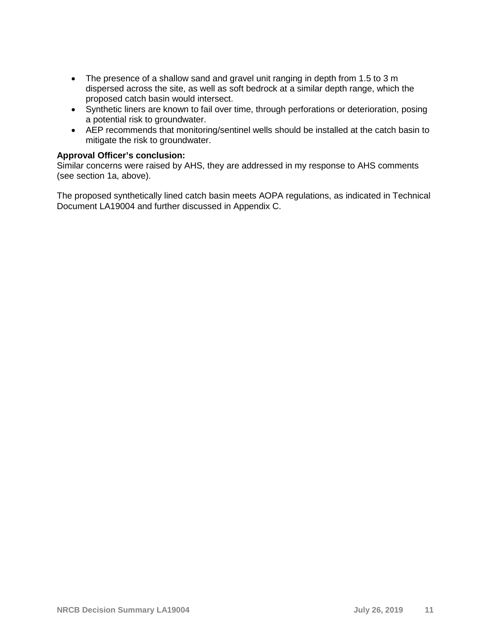- The presence of a shallow sand and gravel unit ranging in depth from 1.5 to 3 m dispersed across the site, as well as soft bedrock at a similar depth range, which the proposed catch basin would intersect.
- Synthetic liners are known to fail over time, through perforations or deterioration, posing a potential risk to groundwater.
- AEP recommends that monitoring/sentinel wells should be installed at the catch basin to mitigate the risk to groundwater.

#### **Approval Officer's conclusion:**

Similar concerns were raised by AHS, they are addressed in my response to AHS comments (see section 1a, above).

The proposed synthetically lined catch basin meets AOPA regulations, as indicated in Technical Document LA19004 and further discussed in Appendix C.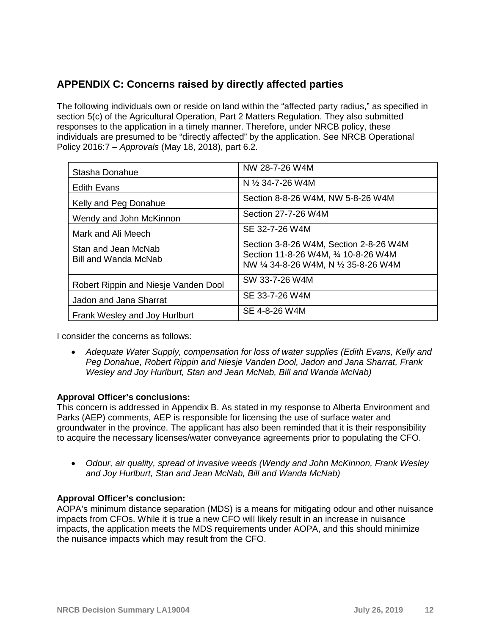## **APPENDIX C: Concerns raised by directly affected parties**

The following individuals own or reside on land within the "affected party radius," as specified in section 5(c) of the Agricultural Operation, Part 2 Matters Regulation. They also submitted responses to the application in a timely manner. Therefore, under NRCB policy, these individuals are presumed to be "directly affected" by the application. See NRCB Operational Policy 2016:7 – *Approvals* (May 18, 2018), part 6.2.

| Stasha Donahue                              | NW 28-7-26 W4M                                                                                                          |
|---------------------------------------------|-------------------------------------------------------------------------------------------------------------------------|
| <b>Edith Evans</b>                          | N $\frac{1}{2}$ 34-7-26 W4M                                                                                             |
| Kelly and Peg Donahue                       | Section 8-8-26 W4M, NW 5-8-26 W4M                                                                                       |
| Wendy and John McKinnon                     | Section 27-7-26 W4M                                                                                                     |
| Mark and Ali Meech                          | SE 32-7-26 W4M                                                                                                          |
| Stan and Jean McNab<br>Bill and Wanda McNab | Section 3-8-26 W4M, Section 2-8-26 W4M<br>Section 11-8-26 W4M, 3/4 10-8-26 W4M<br>NW 1/4 34-8-26 W4M, N 1/2 35-8-26 W4M |
| Robert Rippin and Niesje Vanden Dool        | SW 33-7-26 W4M                                                                                                          |
| Jadon and Jana Sharrat                      | SE 33-7-26 W4M                                                                                                          |
| Frank Wesley and Joy Hurlburt               | SE 4-8-26 W4M                                                                                                           |

I consider the concerns as follows:

• *Adequate Water Supply, compensation for loss of water supplies (Edith Evans, Kelly and Peg Donahue, Robert Rippin and Niesje Vanden Dool, Jadon and Jana Sharrat, Frank Wesley and Joy Hurlburt, Stan and Jean McNab, Bill and Wanda McNab)*

### **Approval Officer's conclusions:**

This concern is addressed in Appendix B. As stated in my response to Alberta Environment and Parks (AEP) comments, AEP is responsible for licensing the use of surface water and groundwater in the province. The applicant has also been reminded that it is their responsibility to acquire the necessary licenses/water conveyance agreements prior to populating the CFO.

• *Odour, air quality, spread of invasive weeds (Wendy and John McKinnon, Frank Wesley and Joy Hurlburt, Stan and Jean McNab, Bill and Wanda McNab)*

## **Approval Officer's conclusion:**

AOPA's minimum distance separation (MDS) is a means for mitigating odour and other nuisance impacts from CFOs. While it is true a new CFO will likely result in an increase in nuisance impacts, the application meets the MDS requirements under AOPA, and this should minimize the nuisance impacts which may result from the CFO.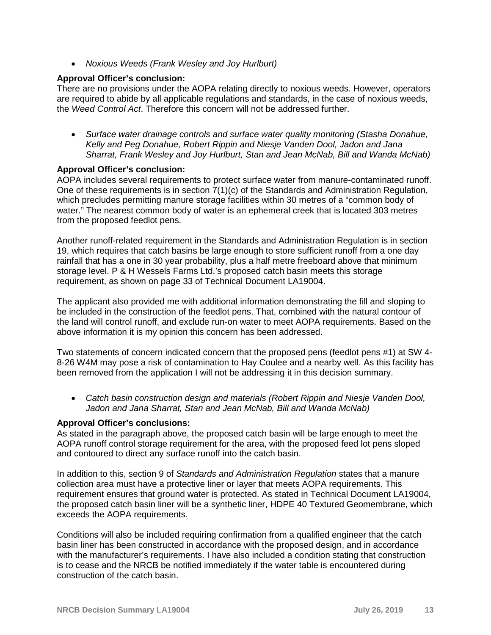• *Noxious Weeds (Frank Wesley and Joy Hurlburt)*

#### **Approval Officer's conclusion:**

There are no provisions under the AOPA relating directly to noxious weeds. However, operators are required to abide by all applicable regulations and standards, in the case of noxious weeds, the *Weed Control Act*. Therefore this concern will not be addressed further.

• *Surface water drainage controls and surface water quality monitoring (Stasha Donahue, Kelly and Peg Donahue, Robert Rippin and Niesje Vanden Dool, Jadon and Jana Sharrat, Frank Wesley and Joy Hurlburt, Stan and Jean McNab, Bill and Wanda McNab)*

#### **Approval Officer's conclusion:**

AOPA includes several requirements to protect surface water from manure-contaminated runoff. One of these requirements is in section 7(1)(c) of the Standards and Administration Regulation, which precludes permitting manure storage facilities within 30 metres of a "common body of water." The nearest common body of water is an ephemeral creek that is located 303 metres from the proposed feedlot pens.

Another runoff-related requirement in the Standards and Administration Regulation is in section 19, which requires that catch basins be large enough to store sufficient runoff from a one day rainfall that has a one in 30 year probability, plus a half metre freeboard above that minimum storage level. P & H Wessels Farms Ltd.'s proposed catch basin meets this storage requirement, as shown on page 33 of Technical Document LA19004.

The applicant also provided me with additional information demonstrating the fill and sloping to be included in the construction of the feedlot pens. That, combined with the natural contour of the land will control runoff, and exclude run-on water to meet AOPA requirements. Based on the above information it is my opinion this concern has been addressed.

Two statements of concern indicated concern that the proposed pens (feedlot pens #1) at SW 4- 8-26 W4M may pose a risk of contamination to Hay Coulee and a nearby well. As this facility has been removed from the application I will not be addressing it in this decision summary.

• *Catch basin construction design and materials (Robert Rippin and Niesje Vanden Dool, Jadon and Jana Sharrat, Stan and Jean McNab, Bill and Wanda McNab)*

#### **Approval Officer's conclusions:**

As stated in the paragraph above, the proposed catch basin will be large enough to meet the AOPA runoff control storage requirement for the area, with the proposed feed lot pens sloped and contoured to direct any surface runoff into the catch basin.

In addition to this, section 9 of *Standards and Administration Regulation* states that a manure collection area must have a protective liner or layer that meets AOPA requirements. This requirement ensures that ground water is protected. As stated in Technical Document LA19004, the proposed catch basin liner will be a synthetic liner, HDPE 40 Textured Geomembrane, which exceeds the AOPA requirements.

Conditions will also be included requiring confirmation from a qualified engineer that the catch basin liner has been constructed in accordance with the proposed design, and in accordance with the manufacturer's requirements. I have also included a condition stating that construction is to cease and the NRCB be notified immediately if the water table is encountered during construction of the catch basin.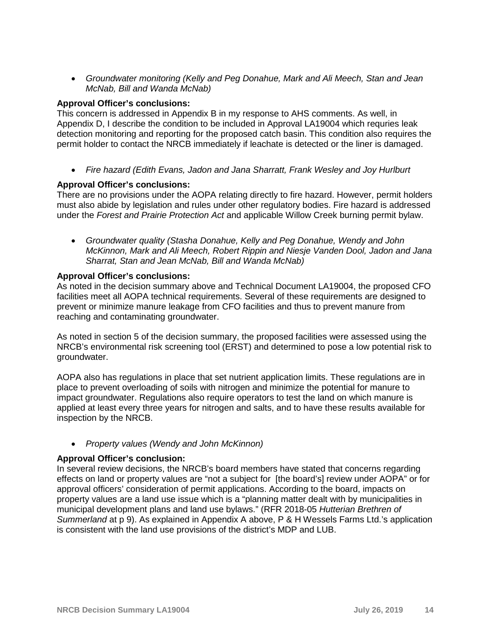• *Groundwater monitoring (Kelly and Peg Donahue, Mark and Ali Meech, Stan and Jean McNab, Bill and Wanda McNab)*

#### **Approval Officer's conclusions:**

This concern is addressed in Appendix B in my response to AHS comments. As well, in Appendix D, I describe the condition to be included in Approval LA19004 which requries leak detection monitoring and reporting for the proposed catch basin. This condition also requires the permit holder to contact the NRCB immediately if leachate is detected or the liner is damaged.

• *Fire hazard (Edith Evans, Jadon and Jana Sharratt, Frank Wesley and Joy Hurlburt*

#### **Approval Officer's conclusions:**

There are no provisions under the AOPA relating directly to fire hazard. However, permit holders must also abide by legislation and rules under other regulatory bodies. Fire hazard is addressed under the *Forest and Prairie Protection Act* and applicable Willow Creek burning permit bylaw.

• *Groundwater quality (Stasha Donahue, Kelly and Peg Donahue, Wendy and John McKinnon, Mark and Ali Meech, Robert Rippin and Niesje Vanden Dool, Jadon and Jana Sharrat, Stan and Jean McNab, Bill and Wanda McNab)*

#### **Approval Officer's conclusions:**

As noted in the decision summary above and Technical Document LA19004, the proposed CFO facilities meet all AOPA technical requirements. Several of these requirements are designed to prevent or minimize manure leakage from CFO facilities and thus to prevent manure from reaching and contaminating groundwater.

As noted in section 5 of the decision summary, the proposed facilities were assessed using the NRCB's environmental risk screening tool (ERST) and determined to pose a low potential risk to groundwater.

AOPA also has regulations in place that set nutrient application limits. These regulations are in place to prevent overloading of soils with nitrogen and minimize the potential for manure to impact groundwater. Regulations also require operators to test the land on which manure is applied at least every three years for nitrogen and salts, and to have these results available for inspection by the NRCB.

• *Property values (Wendy and John McKinnon)*

### **Approval Officer's conclusion:**

In several review decisions, the NRCB's board members have stated that concerns regarding effects on land or property values are "not a subject for [the board's] review under AOPA" or for approval officers' consideration of permit applications. According to the board, impacts on property values are a land use issue which is a "planning matter dealt with by municipalities in municipal development plans and land use bylaws." (RFR 2018-05 *Hutterian Brethren of Summerland* at p 9). As explained in Appendix A above, P & H Wessels Farms Ltd.'s application is consistent with the land use provisions of the district's MDP and LUB.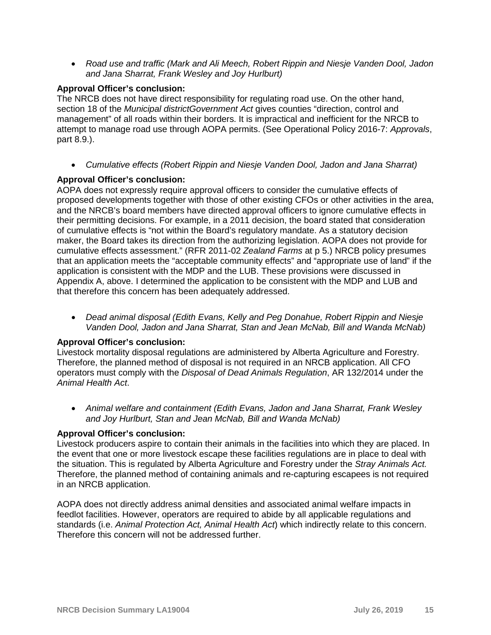• *Road use and traffic (Mark and Ali Meech, Robert Rippin and Niesje Vanden Dool, Jadon and Jana Sharrat, Frank Wesley and Joy Hurlburt)*

## **Approval Officer's conclusion:**

The NRCB does not have direct responsibility for regulating road use. On the other hand, section 18 of the *Municipal districtGovernment Act* gives counties "direction, control and management" of all roads within their borders. It is impractical and inefficient for the NRCB to attempt to manage road use through AOPA permits. (See Operational Policy 2016-7: *Approvals*, part 8.9.).

• *Cumulative effects (Robert Rippin and Niesje Vanden Dool, Jadon and Jana Sharrat)*

## **Approval Officer's conclusion:**

AOPA does not expressly require approval officers to consider the cumulative effects of proposed developments together with those of other existing CFOs or other activities in the area, and the NRCB's board members have directed approval officers to ignore cumulative effects in their permitting decisions. For example, in a 2011 decision, the board stated that consideration of cumulative effects is "not within the Board's regulatory mandate. As a statutory decision maker, the Board takes its direction from the authorizing legislation. AOPA does not provide for cumulative effects assessment." (RFR 2011-02 *Zealand Farms* at p 5.) NRCB policy presumes that an application meets the "acceptable community effects" and "appropriate use of land" if the application is consistent with the MDP and the LUB. These provisions were discussed in Appendix A, above. I determined the application to be consistent with the MDP and LUB and that therefore this concern has been adequately addressed.

• *Dead animal disposal (Edith Evans, Kelly and Peg Donahue, Robert Rippin and Niesje Vanden Dool, Jadon and Jana Sharrat, Stan and Jean McNab, Bill and Wanda McNab)*

### **Approval Officer's conclusion:**

Livestock mortality disposal regulations are administered by Alberta Agriculture and Forestry. Therefore, the planned method of disposal is not required in an NRCB application. All CFO operators must comply with the *Disposal of Dead Animals Regulation*, AR 132/2014 under the *Animal Health Act*.

• *Animal welfare and containment (Edith Evans, Jadon and Jana Sharrat, Frank Wesley and Joy Hurlburt, Stan and Jean McNab, Bill and Wanda McNab)*

### **Approval Officer's conclusion:**

Livestock producers aspire to contain their animals in the facilities into which they are placed. In the event that one or more livestock escape these facilities regulations are in place to deal with the situation. This is regulated by Alberta Agriculture and Forestry under the *Stray Animals Act.* Therefore, the planned method of containing animals and re-capturing escapees is not required in an NRCB application.

AOPA does not directly address animal densities and associated animal welfare impacts in feedlot facilities. However, operators are required to abide by all applicable regulations and standards (i.e. *Animal Protection Act, Animal Health Act*) which indirectly relate to this concern. Therefore this concern will not be addressed further.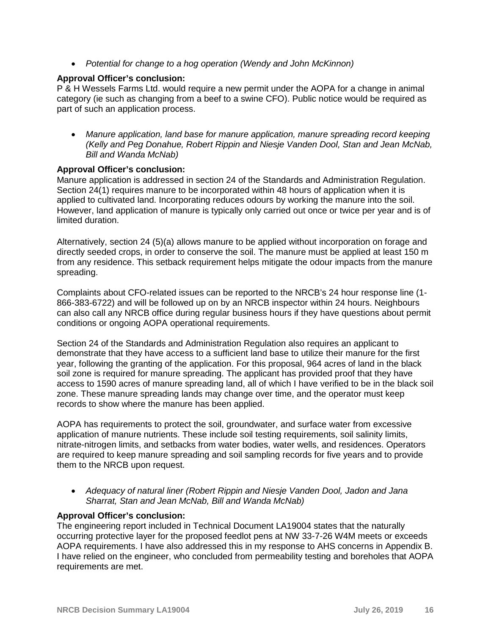• *Potential for change to a hog operation (Wendy and John McKinnon)*

## **Approval Officer's conclusion:**

P & H Wessels Farms Ltd. would require a new permit under the AOPA for a change in animal category (ie such as changing from a beef to a swine CFO). Public notice would be required as part of such an application process.

• *Manure application, land base for manure application, manure spreading record keeping (Kelly and Peg Donahue, Robert Rippin and Niesje Vanden Dool, Stan and Jean McNab, Bill and Wanda McNab)*

### **Approval Officer's conclusion:**

Manure application is addressed in section 24 of the Standards and Administration Regulation. Section 24(1) requires manure to be incorporated within 48 hours of application when it is applied to cultivated land. Incorporating reduces odours by working the manure into the soil. However, land application of manure is typically only carried out once or twice per year and is of limited duration.

Alternatively, section 24 (5)(a) allows manure to be applied without incorporation on forage and directly seeded crops, in order to conserve the soil. The manure must be applied at least 150 m from any residence. This setback requirement helps mitigate the odour impacts from the manure spreading.

Complaints about CFO-related issues can be reported to the NRCB's 24 hour response line (1- 866-383-6722) and will be followed up on by an NRCB inspector within 24 hours. Neighbours can also call any NRCB office during regular business hours if they have questions about permit conditions or ongoing AOPA operational requirements.

Section 24 of the Standards and Administration Regulation also requires an applicant to demonstrate that they have access to a sufficient land base to utilize their manure for the first year, following the granting of the application. For this proposal, 964 acres of land in the black soil zone is required for manure spreading. The applicant has provided proof that they have access to 1590 acres of manure spreading land, all of which I have verified to be in the black soil zone. These manure spreading lands may change over time, and the operator must keep records to show where the manure has been applied.

AOPA has requirements to protect the soil, groundwater, and surface water from excessive application of manure nutrients. These include soil testing requirements, soil salinity limits, nitrate-nitrogen limits, and setbacks from water bodies, water wells, and residences. Operators are required to keep manure spreading and soil sampling records for five years and to provide them to the NRCB upon request.

• *Adequacy of natural liner (Robert Rippin and Niesje Vanden Dool, Jadon and Jana Sharrat, Stan and Jean McNab, Bill and Wanda McNab)*

### **Approval Officer's conclusion:**

The engineering report included in Technical Document LA19004 states that the naturally occurring protective layer for the proposed feedlot pens at NW 33-7-26 W4M meets or exceeds AOPA requirements. I have also addressed this in my response to AHS concerns in Appendix B. I have relied on the engineer, who concluded from permeability testing and boreholes that AOPA requirements are met.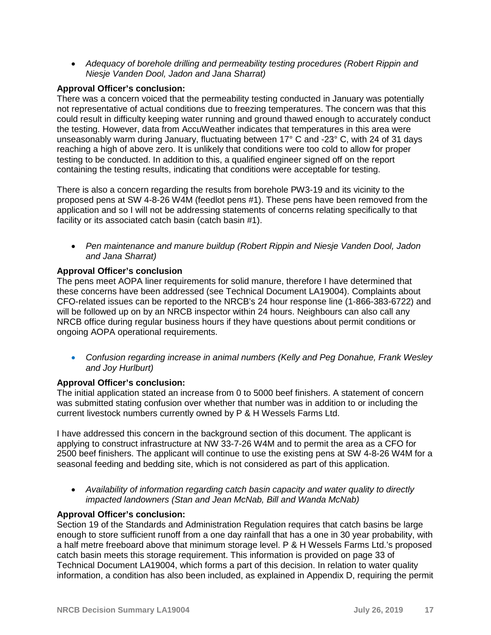• *Adequacy of borehole drilling and permeability testing procedures (Robert Rippin and Niesje Vanden Dool, Jadon and Jana Sharrat)*

## **Approval Officer's conclusion:**

There was a concern voiced that the permeability testing conducted in January was potentially not representative of actual conditions due to freezing temperatures. The concern was that this could result in difficulty keeping water running and ground thawed enough to accurately conduct the testing. However, data from AccuWeather indicates that temperatures in this area were unseasonably warm during January, fluctuating between 17° C and -23° C, with 24 of 31 days reaching a high of above zero. It is unlikely that conditions were too cold to allow for proper testing to be conducted. In addition to this, a qualified engineer signed off on the report containing the testing results, indicating that conditions were acceptable for testing.

There is also a concern regarding the results from borehole PW3-19 and its vicinity to the proposed pens at SW 4-8-26 W4M (feedlot pens #1). These pens have been removed from the application and so I will not be addressing statements of concerns relating specifically to that facility or its associated catch basin (catch basin #1).

• *Pen maintenance and manure buildup (Robert Rippin and Niesje Vanden Dool, Jadon and Jana Sharrat)*

## **Approval Officer's conclusion**

The pens meet AOPA liner requirements for solid manure, therefore I have determined that these concerns have been addressed (see Technical Document LA19004). Complaints about CFO-related issues can be reported to the NRCB's 24 hour response line (1-866-383-6722) and will be followed up on by an NRCB inspector within 24 hours. Neighbours can also call any NRCB office during regular business hours if they have questions about permit conditions or ongoing AOPA operational requirements.

• *Confusion regarding increase in animal numbers (Kelly and Peg Donahue, Frank Wesley and Joy Hurlburt)*

### **Approval Officer's conclusion:**

The initial application stated an increase from 0 to 5000 beef finishers. A statement of concern was submitted stating confusion over whether that number was in addition to or including the current livestock numbers currently owned by P & H Wessels Farms Ltd.

I have addressed this concern in the background section of this document. The applicant is applying to construct infrastructure at NW 33-7-26 W4M and to permit the area as a CFO for 2500 beef finishers. The applicant will continue to use the existing pens at SW 4-8-26 W4M for a seasonal feeding and bedding site, which is not considered as part of this application.

• *Availability of information regarding catch basin capacity and water quality to directly impacted landowners (Stan and Jean McNab, Bill and Wanda McNab)*

### **Approval Officer's conclusion:**

Section 19 of the Standards and Administration Regulation requires that catch basins be large enough to store sufficient runoff from a one day rainfall that has a one in 30 year probability, with a half metre freeboard above that minimum storage level. P & H Wessels Farms Ltd.'s proposed catch basin meets this storage requirement. This information is provided on page 33 of Technical Document LA19004, which forms a part of this decision. In relation to water quality information, a condition has also been included, as explained in Appendix D, requiring the permit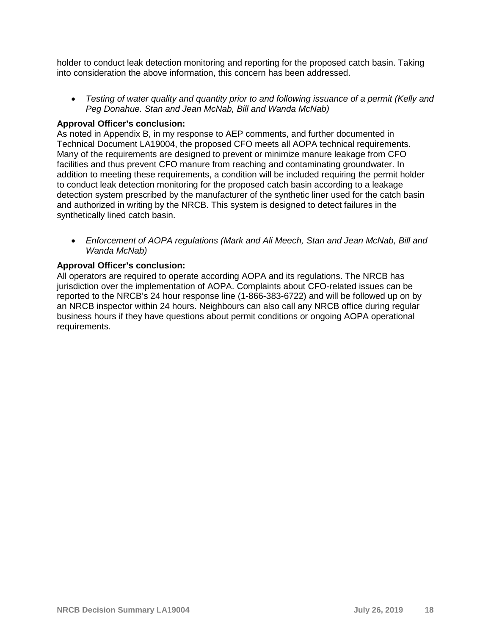holder to conduct leak detection monitoring and reporting for the proposed catch basin. Taking into consideration the above information, this concern has been addressed.

• *Testing of water quality and quantity prior to and following issuance of a permit (Kelly and Peg Donahue. Stan and Jean McNab, Bill and Wanda McNab)*

### **Approval Officer's conclusion:**

As noted in Appendix B, in my response to AEP comments, and further documented in Technical Document LA19004, the proposed CFO meets all AOPA technical requirements. Many of the requirements are designed to prevent or minimize manure leakage from CFO facilities and thus prevent CFO manure from reaching and contaminating groundwater. In addition to meeting these requirements, a condition will be included requiring the permit holder to conduct leak detection monitoring for the proposed catch basin according to a leakage detection system prescribed by the manufacturer of the synthetic liner used for the catch basin and authorized in writing by the NRCB. This system is designed to detect failures in the synthetically lined catch basin.

• *Enforcement of AOPA regulations (Mark and Ali Meech, Stan and Jean McNab, Bill and Wanda McNab)*

## **Approval Officer's conclusion:**

All operators are required to operate according AOPA and its regulations. The NRCB has jurisdiction over the implementation of AOPA. Complaints about CFO-related issues can be reported to the NRCB's 24 hour response line (1-866-383-6722) and will be followed up on by an NRCB inspector within 24 hours. Neighbours can also call any NRCB office during regular business hours if they have questions about permit conditions or ongoing AOPA operational requirements.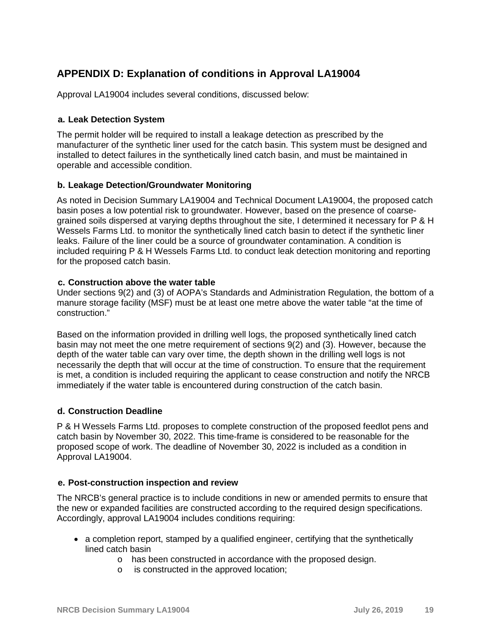# **APPENDIX D: Explanation of conditions in Approval LA19004**

Approval LA19004 includes several conditions, discussed below:

#### **a. Leak Detection System**

The permit holder will be required to install a leakage detection as prescribed by the manufacturer of the synthetic liner used for the catch basin. This system must be designed and installed to detect failures in the synthetically lined catch basin, and must be maintained in operable and accessible condition.

#### **b. Leakage Detection/Groundwater Monitoring**

As noted in Decision Summary LA19004 and Technical Document LA19004, the proposed catch basin poses a low potential risk to groundwater. However, based on the presence of coarsegrained soils dispersed at varying depths throughout the site, I determined it necessary for P & H Wessels Farms Ltd. to monitor the synthetically lined catch basin to detect if the synthetic liner leaks. Failure of the liner could be a source of groundwater contamination. A condition is included requiring P & H Wessels Farms Ltd. to conduct leak detection monitoring and reporting for the proposed catch basin.

#### **c. Construction above the water table**

Under sections 9(2) and (3) of AOPA's Standards and Administration Regulation, the bottom of a manure storage facility (MSF) must be at least one metre above the water table "at the time of construction."

Based on the information provided in drilling well logs, the proposed synthetically lined catch basin may not meet the one metre requirement of sections 9(2) and (3). However, because the depth of the water table can vary over time, the depth shown in the drilling well logs is not necessarily the depth that will occur at the time of construction. To ensure that the requirement is met, a condition is included requiring the applicant to cease construction and notify the NRCB immediately if the water table is encountered during construction of the catch basin.

### **d. Construction Deadline**

P & H Wessels Farms Ltd. proposes to complete construction of the proposed feedlot pens and catch basin by November 30, 2022. This time-frame is considered to be reasonable for the proposed scope of work. The deadline of November 30, 2022 is included as a condition in Approval LA19004.

#### **e. Post-construction inspection and review**

The NRCB's general practice is to include conditions in new or amended permits to ensure that the new or expanded facilities are constructed according to the required design specifications. Accordingly, approval LA19004 includes conditions requiring:

- a completion report, stamped by a qualified engineer, certifying that the synthetically lined catch basin
	- o has been constructed in accordance with the proposed design.
	- o is constructed in the approved location;